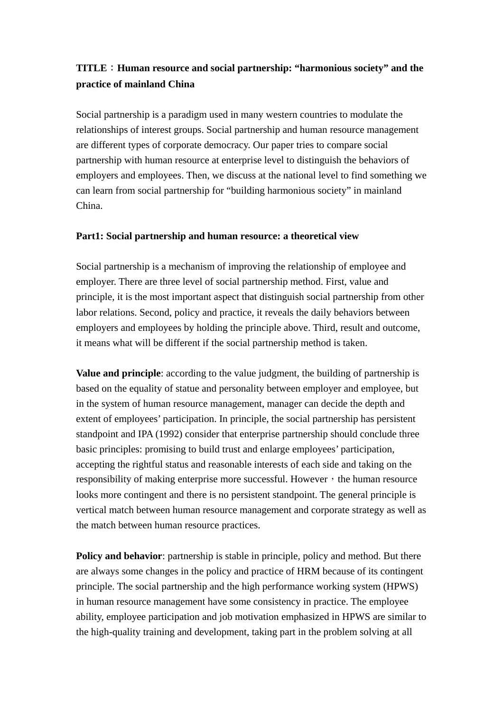# **TITLE**:**Human resource and social partnership: "harmonious society" and the practice of mainland China**

Social partnership is a paradigm used in many western countries to modulate the relationships of interest groups. Social partnership and human resource management are different types of corporate democracy. Our paper tries to compare social partnership with human resource at enterprise level to distinguish the behaviors of employers and employees. Then, we discuss at the national level to find something we can learn from social partnership for "building harmonious society" in mainland China.

### **Part1: Social partnership and human resource: a theoretical view**

Social partnership is a mechanism of improving the relationship of employee and employer. There are three level of social partnership method. First, value and principle, it is the most important aspect that distinguish social partnership from other labor relations. Second, policy and practice, it reveals the daily behaviors between employers and employees by holding the principle above. Third, result and outcome, it means what will be different if the social partnership method is taken.

**Value and principle**: according to the value judgment, the building of partnership is based on the equality of statue and personality between employer and employee, but in the system of human resource management, manager can decide the depth and extent of employees' participation. In principle, the social partnership has persistent standpoint and IPA (1992) consider that enterprise partnership should conclude three basic principles: promising to build trust and enlarge employees' participation, accepting the rightful status and reasonable interests of each side and taking on the responsibility of making enterprise more successful. However, the human resource looks more contingent and there is no persistent standpoint. The general principle is vertical match between human resource management and corporate strategy as well as the match between human resource practices.

**Policy and behavior**: partnership is stable in principle, policy and method. But there are always some changes in the policy and practice of HRM because of its contingent principle. The social partnership and the high performance working system (HPWS) in human resource management have some consistency in practice. The employee ability, employee participation and job motivation emphasized in HPWS are similar to the high-quality training and development, taking part in the problem solving at all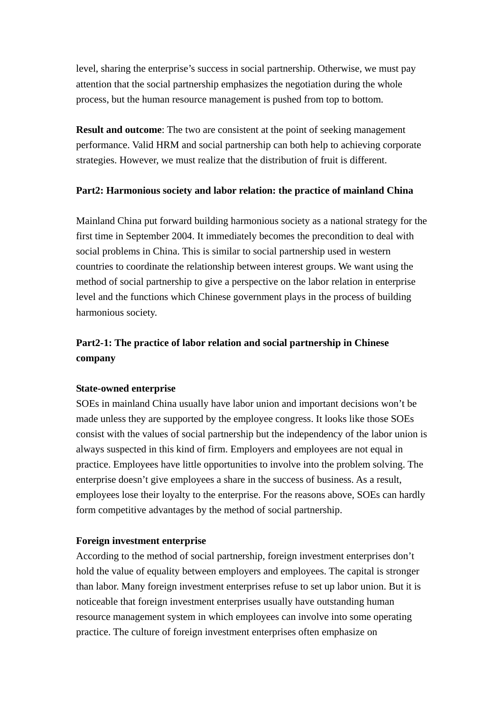level, sharing the enterprise's success in social partnership. Otherwise, we must pay attention that the social partnership emphasizes the negotiation during the whole process, but the human resource management is pushed from top to bottom.

**Result and outcome:** The two are consistent at the point of seeking management performance. Valid HRM and social partnership can both help to achieving corporate strategies. However, we must realize that the distribution of fruit is different.

### **Part2: Harmonious society and labor relation: the practice of mainland China**

Mainland China put forward building harmonious society as a national strategy for the first time in September 2004. It immediately becomes the precondition to deal with social problems in China. This is similar to social partnership used in western countries to coordinate the relationship between interest groups. We want using the method of social partnership to give a perspective on the labor relation in enterprise level and the functions which Chinese government plays in the process of building harmonious society.

# **Part2-1: The practice of labor relation and social partnership in Chinese company**

## **State-owned enterprise**

SOEs in mainland China usually have labor union and important decisions won't be made unless they are supported by the employee congress. It looks like those SOEs consist with the values of social partnership but the independency of the labor union is always suspected in this kind of firm. Employers and employees are not equal in practice. Employees have little opportunities to involve into the problem solving. The enterprise doesn't give employees a share in the success of business. As a result, employees lose their loyalty to the enterprise. For the reasons above, SOEs can hardly form competitive advantages by the method of social partnership.

## **Foreign investment enterprise**

According to the method of social partnership, foreign investment enterprises don't hold the value of equality between employers and employees. The capital is stronger than labor. Many foreign investment enterprises refuse to set up labor union. But it is noticeable that foreign investment enterprises usually have outstanding human resource management system in which employees can involve into some operating practice. The culture of foreign investment enterprises often emphasize on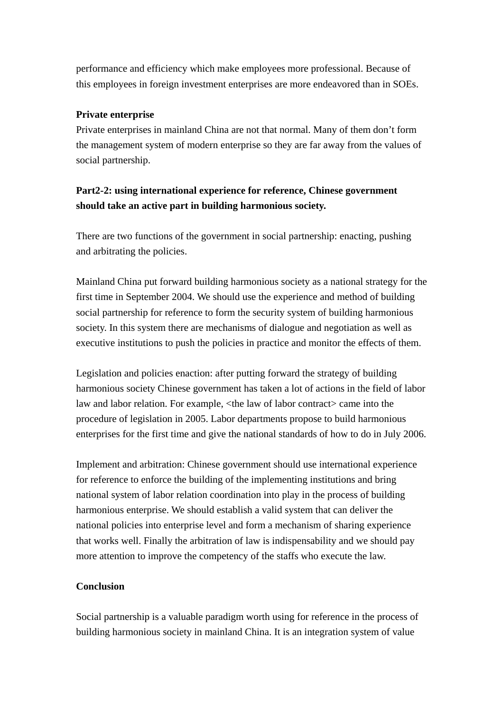performance and efficiency which make employees more professional. Because of this employees in foreign investment enterprises are more endeavored than in SOEs.

## **Private enterprise**

Private enterprises in mainland China are not that normal. Many of them don't form the management system of modern enterprise so they are far away from the values of social partnership.

# **Part2-2: using international experience for reference, Chinese government should take an active part in building harmonious society.**

There are two functions of the government in social partnership: enacting, pushing and arbitrating the policies.

Mainland China put forward building harmonious society as a national strategy for the first time in September 2004. We should use the experience and method of building social partnership for reference to form the security system of building harmonious society. In this system there are mechanisms of dialogue and negotiation as well as executive institutions to push the policies in practice and monitor the effects of them.

Legislation and policies enaction: after putting forward the strategy of building harmonious society Chinese government has taken a lot of actions in the field of labor law and labor relation. For example, <the law of labor contract> came into the procedure of legislation in 2005. Labor departments propose to build harmonious enterprises for the first time and give the national standards of how to do in July 2006.

Implement and arbitration: Chinese government should use international experience for reference to enforce the building of the implementing institutions and bring national system of labor relation coordination into play in the process of building harmonious enterprise. We should establish a valid system that can deliver the national policies into enterprise level and form a mechanism of sharing experience that works well. Finally the arbitration of law is indispensability and we should pay more attention to improve the competency of the staffs who execute the law.

## **Conclusion**

Social partnership is a valuable paradigm worth using for reference in the process of building harmonious society in mainland China. It is an integration system of value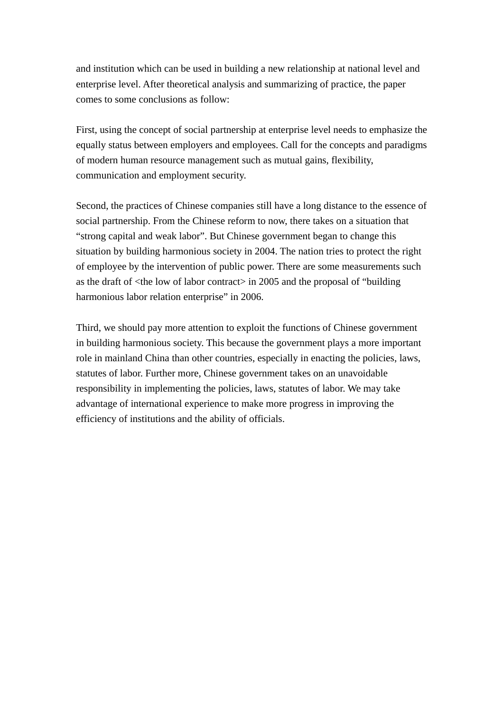and institution which can be used in building a new relationship at national level and enterprise level. After theoretical analysis and summarizing of practice, the paper comes to some conclusions as follow:

First, using the concept of social partnership at enterprise level needs to emphasize the equally status between employers and employees. Call for the concepts and paradigms of modern human resource management such as mutual gains, flexibility, communication and employment security.

Second, the practices of Chinese companies still have a long distance to the essence of social partnership. From the Chinese reform to now, there takes on a situation that "strong capital and weak labor". But Chinese government began to change this situation by building harmonious society in 2004. The nation tries to protect the right of employee by the intervention of public power. There are some measurements such as the draft of <the low of labor contract> in 2005 and the proposal of "building harmonious labor relation enterprise" in 2006.

Third, we should pay more attention to exploit the functions of Chinese government in building harmonious society. This because the government plays a more important role in mainland China than other countries, especially in enacting the policies, laws, statutes of labor. Further more, Chinese government takes on an unavoidable responsibility in implementing the policies, laws, statutes of labor. We may take advantage of international experience to make more progress in improving the efficiency of institutions and the ability of officials.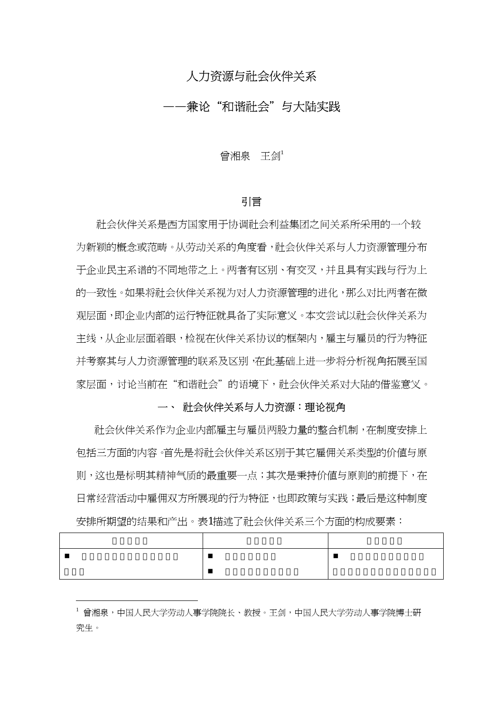# 人力资源与社会伙伴关系

# ——兼论"和谐社会"与大陆实践

曾湘泉 王剑<sup>1</sup>

### 引言

社会伙伴关系是西方国家用于协调社会利益集团之间关系所采用的一个较 为新颖的概念或范畴。从劳动关系的角度看,社会伙伴关系与人力资源管理分布 于企业民主系谱的不同地带之上。两者有区别、有交叉,并且具有实践与行为上 的一致性。如果将社会伙伴关系视为对人力资源管理的进化,那么对比两者在微 观层面,即企业内部的运行特征就具备了实际意义。本文尝试以社会伙伴关系为 主线,从企业层面着眼,检视在伙伴关系协议的框架内,雇主与雇员的行为特征 并考察其与人力资源管理的联系及区别,在此基础上进一步将分析视角拓展至国 家层面,讨论当前在"和谐社会"的语境下,社会伙伴关系对大陆的借鉴意义。

### 一、 社会伙伴关系与人力资源:理论视角

社会伙伴关系作为企业内部雇主与雇员两股力量的整合机制,在制度安排上 包括三方面的内容。首先是将社会伙伴关系区别于其它雇佣关系类型的价值与原 则,这也是标明其精神气质的最重要一点;其次是秉持价值与原则的前提下,在 日常经营活动中雇佣双方所展现的行为特征,也即政策与实践;最后是这种制度 安排所期望的结果和产出。表1描述了社会伙伴关系三个方面的构成要素:

<sup>1</sup> 曾湘泉,中国人民大学劳动人事学院院长、教授。王剑,中国人民大学劳动人事学院博士研 究生。

 $\overline{a}$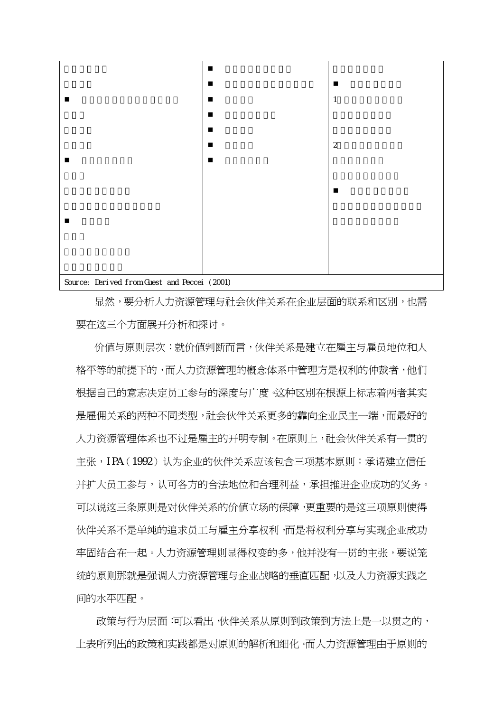

显然,要分析人力资源管理与社会伙伴关系在企业层面的联系和区别,也需 要在这三个方面展开分析和探讨。

价值与原则层次:就价值判断而言,伙伴关系是建立在雇主与雇员地位和人 格平等的前提下的,而人力资源管理的概念体系中管理方是权利的仲裁者,他们 根据自己的意志决定员工参与的深度与广度。这种区别在根源上标志着两者其实 是雇佣关系的两种不同类型,社会伙伴关系更多的靠向企业民主一端,而最好的 人力资源管理体系也不过是雇主的开明专制。在原则上,社会伙伴关系有一贯的 主张,IPA(1992)认为企业的伙伴关系应该包含三项基本原则:承诺建立信任 并扩大员工参与,认可各方的合法地位和合理利益,承担推进企业成功的义务。 可以说这三条原则是对伙伴关系的价值立场的保障,更重要的是这三项原则使得 伙伴关系不是单纯的追求员工与雇主分享权利,而是将权利分享与实现企业成功 牢固结合在一起。人力资源管理则显得权变的多,他并没有一贯的主张,要说笼 统的原则那就是强调人力资源管理与企业战略的垂直匹配,以及人力资源实践之 间的水平匹配。

政策与行为层面:可以看出,伙伴关系从原则到政策到方法上是一以贯之的, 上表所列出的政策和实践都是对原则的解析和细化。而人力资源管理由于原则的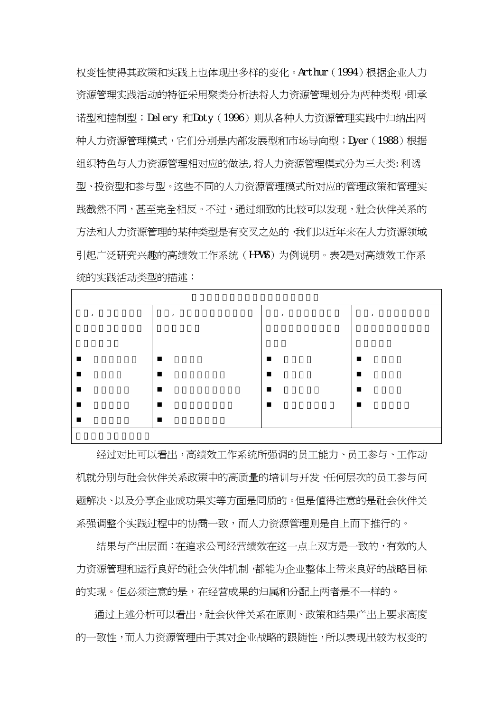权变性使得其政策和实践上也体现出多样的变化。Arthur(1994)根据企业人力 资源管理实践活动的特征采用聚类分析法将人力资源管理划分为两种类型,即承 诺型和控制型;Delery 和Doty(1996)则从各种人力资源管理实践中归纳出两 种人力资源管理模式,它们分别是内部发展型和市场导向型;Dyer(1988)根据 组织特色与人力资源管理相对应的做法,将人力资源管理模式分为三大类:利诱 型、投资型和参与型。这些不同的人力资源管理模式所对应的管理政策和管理实 践截然不同,甚至完全相反。不过,通过细致的比较可以发现,社会伙伴关系的 方法和人力资源管理的某种类型是有交叉之处的,我们以近年来在人力资源领域 引起广泛研究兴趣的高绩效工作系统(HPWS)为例说明。表2是对高绩效工作系 统的实践活动类型的描述:

| $\overline{\phantom{a}}$ | $\overline{1}$ | $\overline{1}$ | $\overline{1}$ |
|--------------------------|----------------|----------------|----------------|
|                          |                |                |                |
|                          |                |                |                |
| п                        | п              |                | п              |
| $\blacksquare$           | п              | $\blacksquare$ | п              |
| $\blacksquare$           |                |                | п              |
| $\blacksquare$           |                |                | п              |
|                          | ■              |                |                |
|                          |                |                |                |

经过对比可以看出,高绩效工作系统所强调的员工能力、员工参与、工作动 机就分别与社会伙伴关系政策中的高质量的培训与开发、任何层次的员工参与问 题解决、以及分享企业成功果实等方面是同质的。但是值得注意的是社会伙伴关 系强调整个实践过程中的协商一致,而人力资源管理则是自上而下推行的。

结果与产出层面:在追求公司经营绩效在这一点上双方是一致的,有效的人 力资源管理和运行良好的社会伙伴机制,都能为企业整体上带来良好的战略目标 的实现。但必须注意的是,在经营成果的归属和分配上两者是不一样的。

通过上述分析可以看出,社会伙伴关系在原则、政策和结果产出上要求高度 的一致性,而人力资源管理由于其对企业战略的跟随性,所以表现出较为权变的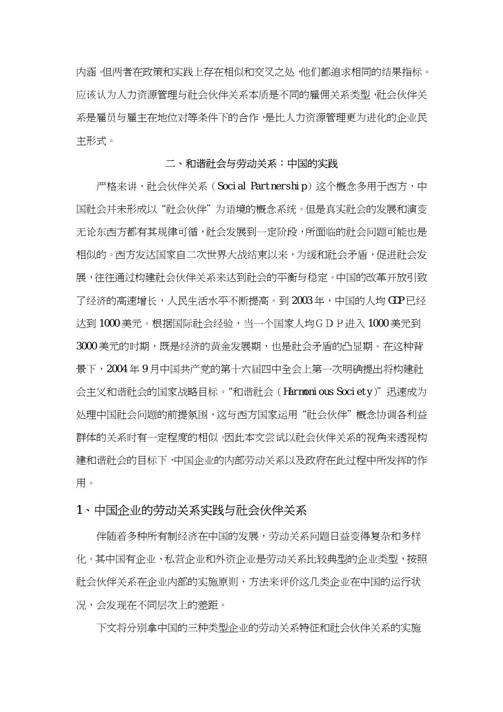内涵。但两者在政策和实践上存在相似和交叉之处,他们都追求相同的结果指标。 应该认为人力资源管理与社会伙伴关系本质是不同的雇佣关系类型,社会伙伴关 系是雇员与雇主在地位对等条件下的合作,是比人力资源管理更为进化的企业民 主形式。

#### 二、和谐社会与劳动关系:中国的实践

 严格来讲,社会伙伴关系(Social Partnership)这个概念多用于西方,中 国社会并未形成以"社会伙伴"为语境的概念系统。但是真实社会的发展和演变 无论东西方都有其规律可循,社会发展到一定阶段,所面临的社会问题可能也是 相似的。西方发达国家自二次世界大战结束以来,为缓和社会矛盾,促进社会发 展,往往通过构建社会伙伴关系来达到社会的平衡与稳定。中国的改革开放引致 了经济的高速增长,人民生活水平不断提高。到 2003年,中国的人均 GDP 已经 达到 1000 美元。根据国际社会经验,当一个国家人均GD P 进入 1000 美元到 3000 美元的时期,既是经济的黄金发展期,也是社会矛盾的凸显期。在这种背 景下,2004 年 9 月中国共产党的第十六届四中全会上第一次明确提出将构建社 会主义和谐社会的国家战略目标。"和谐社会(Harmonious Society)"迅速成为 处理中国社会问题的前提氛围,这与西方国家运用"社会伙伴"概念协调各利益 群体的关系时有一定程度的相似。因此本文尝试以社会伙伴关系的视角来透视构 建和谐社会的目标下,中国企业的内部劳动关系以及政府在此过程中所发挥的作 用。

## 1、中国企业的劳动关系实践与社会伙伴关系

伴随着多种所有制经济在中国的发展,劳动关系问题日益变得复杂和多样 化。其中国有企业、私营企业和外资企业是劳动关系比较典型的企业类型,按照 社会伙伴关系在企业内部的实施原则、方法来评价这几类企业在中国的运行状 况,会发现在不同层次上的差距。

下文将分别拿中国的三种类型企业的劳动关系特征和社会伙伴关系的实施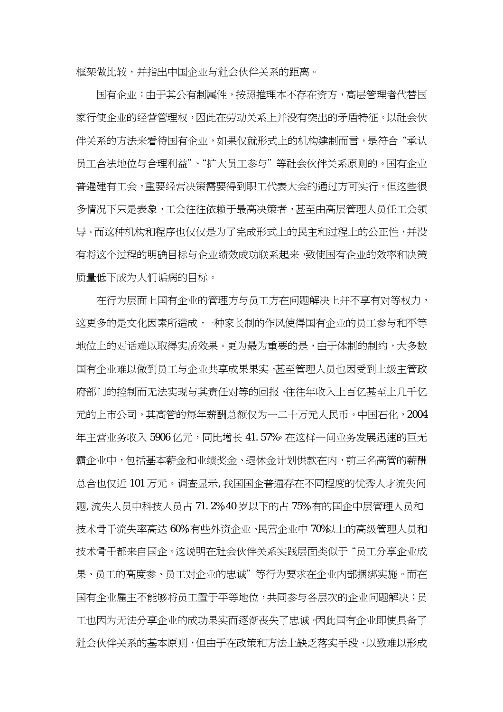框架做比较,并指出中国企业与社会伙伴关系的距离。

国有企业:由于其公有制属性,按照推理本不存在资方,高层管理者代替国 家行使企业的经营管理权,因此在劳动关系上并没有突出的矛盾特征。以社会伙 伴关系的方法来看待国有企业,如果仅就形式上的机构建制而言,是符合"承认 员工合法地位与合理利益"、"扩大员工参与"等社会伙伴关系原则的。国有企业 普遍建有工会,重要经营决策需要得到职工代表大会的通过方可实行。但这些很 多情况下只是表象,工会往往依赖于最高决策者,甚至由高层管理人员任工会领 导。而这种机构和程序也仅仅是为了完成形式上的民主和过程上的公正性,并没 有将这个过程的明确目标与企业绩效成功联系起来,致使国有企业的效率和决策 质量低下成为人们诟病的目标。

在行为层面上国有企业的管理方与员工方在问题解决上并不享有对等权力, 这更多的是文化因素所造成,一种家长制的作风使得国有企业的员工参与和平等 地位上的对话难以取得实质效果。更为最为重要的是,由于体制的制约,大多数 国有企业难以做到员工与企业共享成果果实,甚至管理人员也因受到上级主管政 府部门的控制而无法实现与其责任对等的回报,往往年收入上百亿甚至上几千亿 元的上市公司,其高管的每年薪酬总额仅为一二十万元人民币。中国石化,2004 年主营业务收入 5906亿元,同比增长 41.57%。在这样一间业务发展迅速的巨无 霸企业中,包括基本薪金和业绩奖金、退休金计划供款在内,前三名高管的薪酬 总合也仅近 101 万元。调查显示,我国国企普遍存在不同程度的优秀人才流失问 题,流失人员中科技人员占 71.2%,40 岁以下的占 75%,有的国企中层管理人员和 技术骨干流失率高达 60%,有些外资企业、民营企业中 70%以上的高级管理人员和 技术骨干都来自国企。这说明在社会伙伴关系实践层面类似于"员工分享企业成 果、员工的高度参、员工对企业的忠诚"等行为要求在企业内部捆绑实施。而在 国有企业雇主不能够将员工置于平等地位,共同参与各层次的企业问题解决;员 工也因为无法分享企业的成功果实而逐渐丧失了忠诚。因此国有企业即使具备了 社会伙伴关系的基本原则,但由于在政策和方法上缺乏落实手段,以致难以形成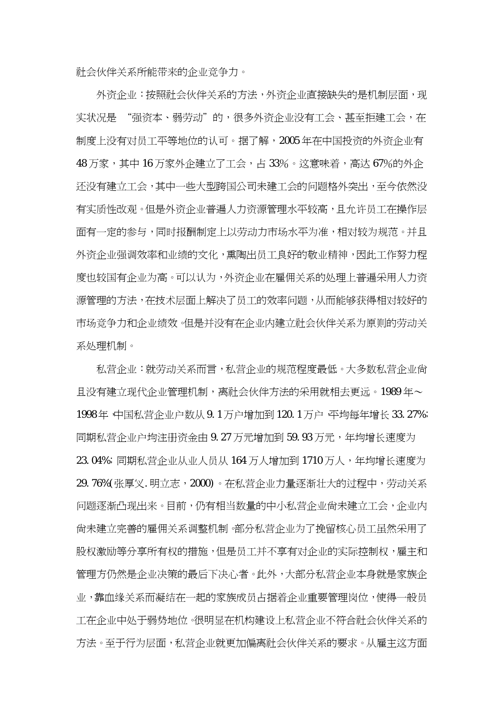社会伙伴关系所能带来的企业竞争力。

外资企业:按照社会伙伴关系的方法,外资企业直接缺失的是机制层面,现 实状况是 "强资本、弱劳动"的,很多外资企业没有工会、甚至拒建工会,在 制度上没有对员工平等地位的认可。据了解,2005年在中国投资的外资企业有 48 万家,其中16 万家外企建立了工会,占 33%。这意味着,高达 67%的外企 还没有建立工会,其中一些大型跨国公司未建工会的问题格外突出,至今依然没 有实质性改观。但是外资企业普遍人力资源管理水平较高,且允许员工在操作层 面有一定的参与,同时报酬制定上以劳动力市场水平为准,相对较为规范。并且 外资企业强调效率和业绩的文化,熏陶出员工良好的敬业精神,因此工作努力程 度也较国有企业为高。可以认为,外资企业在雇佣关系的处理上普遍采用人力资 源管理的方法,在技术层面上解决了员工的效率问题,从而能够获得相对较好的 市场竞争力和企业绩效。但是并没有在企业内建立社会伙伴关系为原则的劳动关 系处理机制。

私营企业:就劳动关系而言,私营企业的规范程度最低。大多数私营企业尚 且没有建立现代企业管理机制,离社会伙伴方法的采用就相去更远。1989年~ 1998年,中国私营企业户数从 9.1 万户增加到 120.1 万户,平均每年增长 33.27%; 同期私营企业户均注册资金由 9.27 万元增加到 59.93 万元,年均增长速度为 23.04%;同期私营企业从业人员从 164 万人增加到 1710 万人,年均增长速度为 29.76%(张厚义.明立志,2000)。在私营企业力量逐渐壮大的过程中,劳动关系 问题逐渐凸现出来。目前,仍有相当数量的中小私营企业尚未建立工会,企业内 尚未建立完善的雇佣关系调整机制。部分私营企业为了挽留核心员工虽然采用了 股权激励等分享所有权的措施,但是员工并不享有对企业的实际控制权,雇主和 管理方仍然是企业决策的最后下决心者。此外,大部分私营企业本身就是家族企 业,靠血缘关系而凝结在一起的家族成员占据着企业重要管理岗位,使得一般员 工在企业中处于弱势地位。很明显在机构建设上私营企业不符合社会伙伴关系的 方法。至于行为层面,私营企业就更加偏离社会伙伴关系的要求。从雇主这方面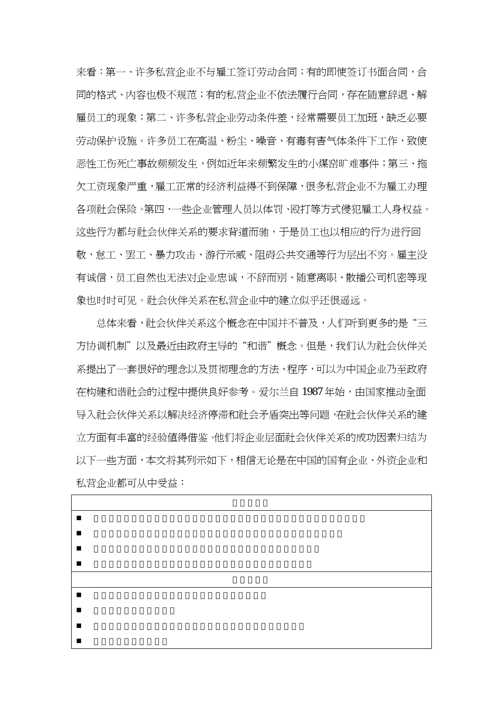来看:第一、许多私营企业不与雇工签订劳动合同;有的即使签订书面合同,合 同的格式、内容也极不规范;有的私营企业不依法履行合同,存在随意辞退、解 雇员工的现象;第二、许多私营企业劳动条件差,经常需要员工加班,缺乏必要 劳动保护设施。许多员工在高温、粉尘、噪音、有毒有害气体条件下工作,致使 恶性工伤死亡事故频频发生,例如近年来频繁发生的小煤窑旷难事件;第三、拖 欠工资现象严重,雇工正常的经济利益得不到保障,很多私营企业不为雇工办理 各项社会保险。第四、一些企业管理人员以体罚、殴打等方式侵犯雇工人身权益。 这些行为都与社会伙伴关系的要求背道而驰,于是员工也以相应的行为进行回 敬,怠工、罢工、暴力攻击、游行示威、阻碍公共交通等行为层出不穷。雇主没 有诚信,员工自然也无法对企业忠诚,不辞而别、随意离职、散播公司机密等现 象也时时可见。社会伙伴关系在私营企业中的建立似乎还很遥远。

总体来看,社会伙伴关系这个概念在中国并不普及,人们听到更多的是"三 方协调机制"以及最近由政府主导的"和谐"概念。但是,我们认为社会伙伴关 系提出了一套很好的理念以及贯彻理念的方法、程序,可以为中国企业乃至政府 在构建和谐社会的过程中提供良好参考。爱尔兰自 1987年始,由国家推动全面 导入社会伙伴关系以解决经济停滞和社会矛盾突出等问题,在社会伙伴关系的建 立方面有丰富的经验值得借鉴。他们将企业层面社会伙伴关系的成功因素归结为 以下一些方面,本文将其列示如下,相信无论是在中国的国有企业、外资企业和 私营企业都可从中受益:

| $\blacksquare$ |  |
|----------------|--|
| $\blacksquare$ |  |
|                |  |
| ш              |  |
|                |  |
| $\blacksquare$ |  |
| ш              |  |
| п              |  |
| ٠              |  |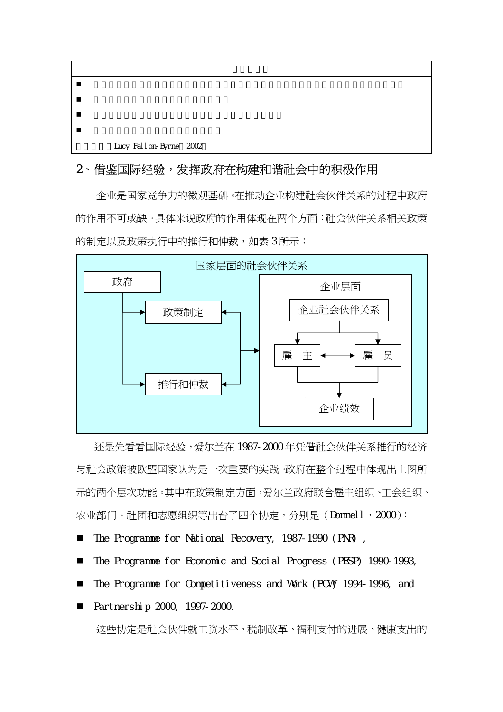| Lucy Fallon-Byrne 2002 |  |
|------------------------|--|

# 2、借鉴国际经验,发挥政府在构建和谐社会中的积极作用

企业是国家竞争力的微观基础。在推动企业构建社会伙伴关系的过程中政府 的作用不可或缺。具体来说政府的作用体现在两个方面:社会伙伴关系相关政策 的制定以及政策执行中的推行和仲裁,如表 3 所示:



还是先看看国际经验,爱尔兰在 1987-2000 年凭借社会伙伴关系推行的经济 与社会政策被欧盟国家认为是一次重要的实践。政府在整个过程中体现出上图所 示的两个层次功能。其中在政策制定方面,爱尔兰政府联合雇主组织、工会组织、 农业部门、社团和志愿组织等出台了四个协定,分别是(Donnell,2000):

- The Programme for National Recovery, 1987-1990 (PNR) ,
- The Programme for Economic and Social Progress (PESP) 1990-1993,
- The Programme for Competitiveness and Work (PCV) 1994-1996, and
- Partnership 2000, 1997-2000.

这些协定是社会伙伴就工资水平、税制改革、福利支付的进展、健康支出的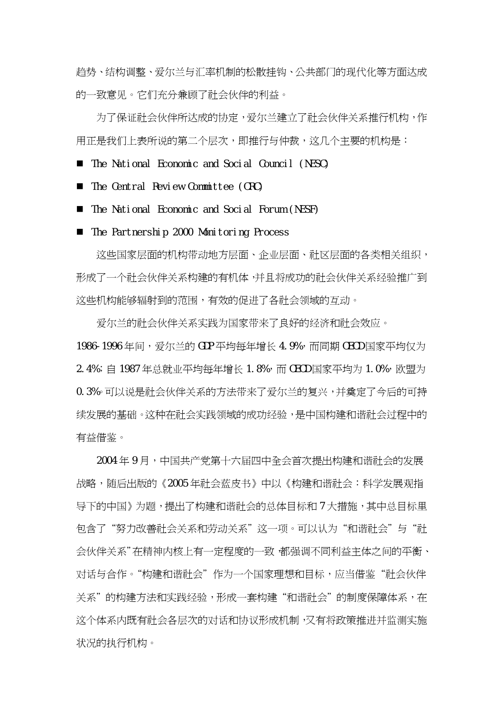趋势、结构调整、爱尔兰与汇率机制的松散挂钩、公共部门的现代化等方面达成 的一致意见。它们充分兼顾了社会伙伴的利益。

为了保证社会伙伴所达成的协定,爱尔兰建立了社会伙伴关系推行机构,作 用正是我们上表所说的第二个层次,即推行与仲裁,这几个主要的机构是:

The National Economic and Social Council (NESC)

The Central Review Committee (CRC)

■ The National Economic and Social Forum (NESF)

■ The Partnership 2000 Monitoring Process

这些国家层面的机构带动地方层面、企业层面、社区层面的各类相关组织, 形成了一个社会伙伴关系构建的有机体,并且将成功的社会伙伴关系经验推广到 这些机构能够辐射到的范围,有效的促进了各社会领域的互动。

爱尔兰的社会伙伴关系实践为国家带来了良好的经济和社会效应。 1986-1996年间,爱尔兰的 GDP 平均每年增长 4.9%,而同期 CECD 国家平均仅为 2.4%; 自 1987年总就业平均每年增长 1.8%, 而 OECD 国家平均为 1.0%, 欧盟为 0.3%。可以说是社会伙伴关系的方法带来了爱尔兰的复兴,并奠定了今后的可持 **续发展的基础。这种在社会实践领域的成功经验,是中国构建和谐社会过程中的** 有益借鉴。

2004 年 9 月,中国共产党第十六届四中全会首次提出构建和谐社会的发展 战略,随后出版的《2005 年社会蓝皮书》中以《构建和谐社会:科学发展观指 导下的中国》为题,提出了构建和谐社会的总体目标和 7 大措施,其中总目标里 包含了"努力改善社会关系和劳动关系"这一项。可以认为"和谐社会"与"社 会伙伴关系"在精神内核上有一定程度的一致,都强调不同利益主体之间的平衡、 对话与合作。"构建和谐社会"作为一个国家理想和目标,应当借鉴"社会伙伴 关系"的构建方法和实践经验,形成一套构建"和谐社会"的制度保障体系,在 这个体系内既有社会各层次的对话和协议形成机制,又有将政策推进并监测实施 状况的执行机构。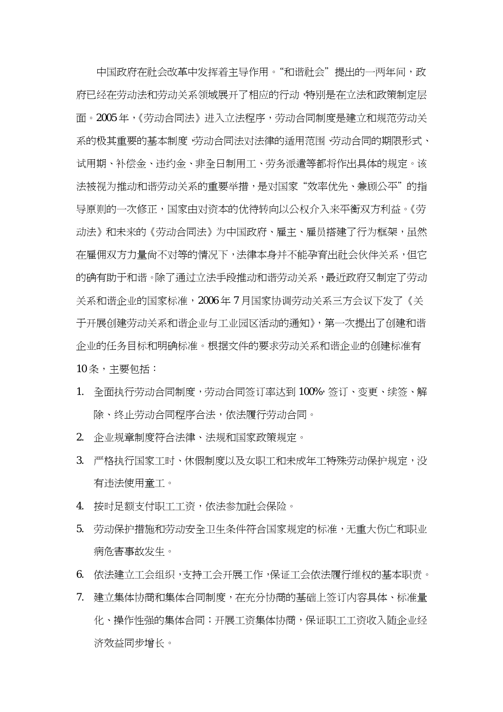中国政府在社会改革中发挥着主导作用。"和谐社会"提出的一两年间,政 府已经在劳动法和劳动关系领域展开了相应的行动,特别是在立法和政策制定层 面。2005年,《劳动合同法》进入立法程序,劳动合同制度是建立和规范劳动关 系的极其重要的基本制度,劳动合同法对法律的适用范围、劳动合同的期限形式、 试用期、补偿金、违约金、非全日制用工、劳务派遣等都将作出具体的规定。该 法被视为推动和谐劳动关系的重要举措,是对国家"效率优先、兼顾公平"的指 导原则的一次修正,国家由对资本的优待转向以公权介入来平衡双方利益。《劳 动法》和未来的《劳动合同法》为中国政府、雇主、雇员搭建了行为框架,虽然 在雇佣双方力量尚不对等的情况下,法律本身并不能孕育出社会伙伴关系,但它 的确有助于和谐。除了涌过立法手段推动和谐劳动关系,最近政府又制定了劳动 关系和谐企业的国家标准,2006年7月国家协调劳动关系三方会议下发了《关 于开展创建劳动关系和谐企业与工业园区活动的通知》,第一次提出了创建和谐 企业的任务目标和明确标准。根据文件的要求劳动关系和谐企业的创建标准有 10 条,主要包括:

- 1. 全面执行劳动合同制度,劳动合同签订率达到 100%, 签订、变更、续签、解 除、终止劳动合同程序合法,依法履行劳动合同。
- 2. 企业规章制度符合法律、法规和国家政策规定。
- 3. 严格执行国家工时、休假制度以及女职工和未成年工特殊劳动保护规定,没 有违法使用童工。
- 4. 按时足额支付职工工资,依法参加社会保险。
- 5. 劳动保护措施和劳动安全卫生条件符合国家规定的标准,无重大伤亡和职业 病危害事故发生。
- 6. 依法建立工会组织,支持工会开展工作,保证工会依法履行维权的基本职责。
- 7. 建立集体协商和集体合同制度,在充分协商的基础上签订内容具体、标准量 化、操作性强的集体合同;开展工资集体协商,保证职工工资收入随企业经 济效益同步增长。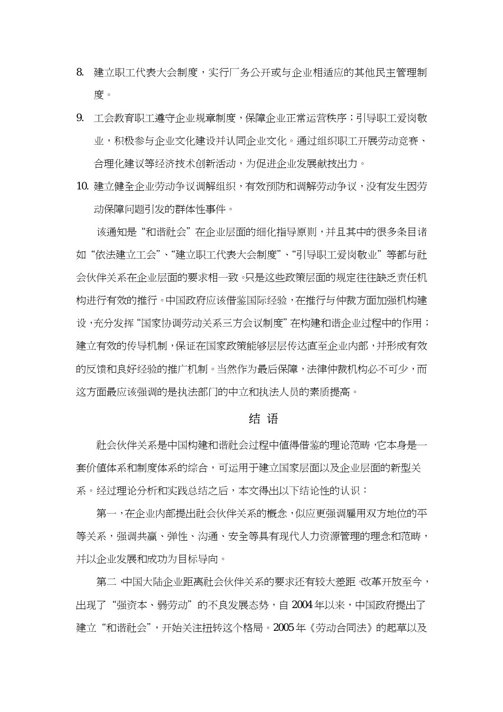- 8. 建立职工代表大会制度,实行厂务公开或与企业相适应的其他民主管理制 度。
- 9. 工会教育职工遵守企业规章制度,保障企业正常运营秩序;引导职工爱岗敬 业,积极参与企业文化建设并认同企业文化。通过组织职工开展劳动竞赛、 合理化建议等经济技术创新活动,为促进企业发展献技出力。
- 10. 建立健全企业劳动争议调解组织,有效预防和调解劳动争议,没有发生因劳 动保障问题引发的群体性事件。

该通知是"和谐社会"在企业层面的细化指导原则,并且其中的很多条目诸 如"依法建立工会"、"建立职工代表大会制度"、"引导职工爱岗敬业"等都与社 会伙伴关系在企业层面的要求相一致。只是这些政策层面的规定往往缺乏责任机 构进行有效的推行。中国政府应该借鉴国际经验,在推行与仲裁方面加强机构建 设,充分发挥"国家协调劳动关系三方会议制度"在构建和谐企业过程中的作用; 建立有效的传导机制,保证在国家政策能够层层传达直至企业内部,并形成有效 的反馈和良好经验的推广机制。当然作为最后保障,法律仲裁机构必不可少,而 这方面最应该强调的是执法部门的中立和执法人员的素质提高。

## 结 语

社会伙伴关系是中国构建和谐社会过程中值得借鉴的理论范畴,它本身是一 套价值体系和制度体系的综合,可运用于建立国家层面以及企业层面的新型关 系。经过理论分析和实践总结之后,本文得出以下结论性的认识:

第一,在企业内部提出社会伙伴关系的概念,似应更强调雇用双方地位的平 等关系,强调共赢、弹性、沟涌、安全等具有现代人力资源管理的理念和范畴, 并以企业发展和成功为目标导向。

第二,中国大陆企业距离社会伙伴关系的要求还有较大差距。改革开放至今, 出现了"强资本、弱劳动"的不良发展态势,自 2004年以来,中国政府提出了 建立"和谐社会",开始关注扭转这个格局。2005年《劳动合同法》的起草以及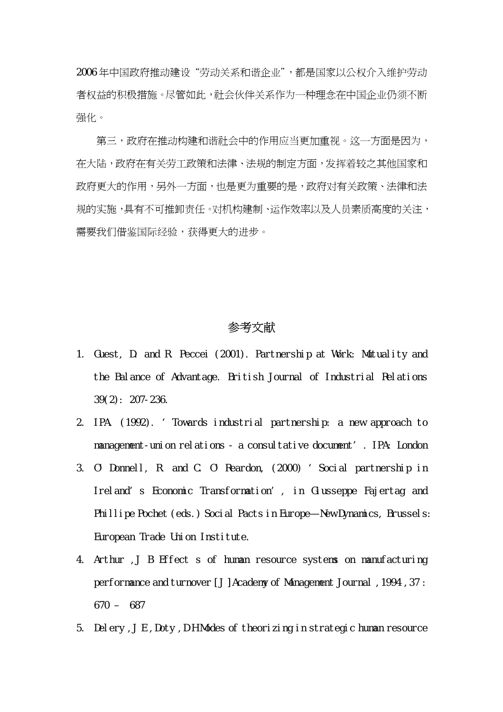2006 年中国政府推动建设"劳动关系和谐企业",都是国家以公权介入维护劳动 者权益的积极措施。尽管如此,社会伙伴关系作为一种理念在中国企业仍须不断 强化。

第三,政府在推动构建和谐社会中的作用应当更加重视。这一方面是因为, 在大陆,政府在有关劳工政策和法律、法规的制定方面,发挥着较之其他国家和 政府更大的作用,另外一方面,也是更为重要的是,政府对有关政策、法律和法 规的实施,具有不可推卸责任。对机构建制、运作效率以及人员素质高度的关注, 需要我们借鉴国际经验,获得更大的进步。

## 参考文献

- 1. Guest, D. and R. Peccei (2001). Partnership at Work: Mutuality and the Balance of Advantage. British Journal of Industrial Relations 39(2): 207-236.
- 2. IPA. (1992). 'Towards industrial partnership: a new approach to management-union relations - a consultative document'. IPA: London
- 3. O'Donnell, R. and C. O'Reardon, (2000) 'Social partnership in Ireland's Economic Transformation', in Giusseppe Fajertag and Phillipe Pochet (eds.) Social Pacts in Europe—New Dynamics, Brussels: European Trade Union Institute.
- 4. Arthur ,J B Effect s of human resource systems on manufacturing performance and turnover [J] Academy of Management Journal, 1994, 37: 670 – 687
- 5. Delery, J E, Doty, D H Modes of theorizing in strategic human resource